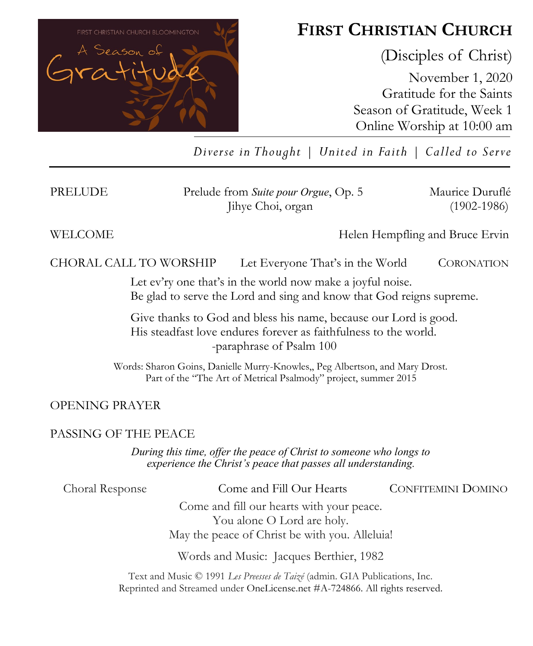

# **FIRST CHRISTIAN CHURCH**

(Disciples of Christ)

November 1, 2020 Gratitude for the Saints Season of Gratitude, Week 1 Online Worship at 10:00 am

*Diverse in Thought | United in Faith | Called to Serve*

PRELUDE Prelude from *Suite pour Orgue*, Op. 5 Maurice Duruflé Jihye Choi, organ (1902-1986)

WELCOME **Helen Hempfling and Bruce Ervin** 

CHORAL CALL TO WORSHIPLet Everyone That's in the World CORONATION

Let ev'ry one that's in the world now make a joyful noise. Be glad to serve the Lord and sing and know that God reigns supreme.

Give thanks to God and bless his name, because our Lord is good. His steadfast love endures forever as faithfulness to the world. -paraphrase of Psalm 100

Words: Sharon Goins, Danielle Murry-Knowles,, Peg Albertson, and Mary Drost. Part of the "The Art of Metrical Psalmody" project, summer 2015

OPENING PRAYER

### PASSING OF THE PEACE

*During this time, offer the peace of Christ to someone who longs to experience the Christ's peace that passes all understanding.*

Choral Response Come and Fill Our Hearts CONFITEMINI DOMINO

Come and fill our hearts with your peace. You alone O Lord are holy. May the peace of Christ be with you. Alleluia!

Words and Music: Jacques Berthier, 1982

Text and Music © 1991 *Les Preesses de Taizé* (admin. GIA Publications, Inc. Reprinted and Streamed under OneLicense.net #A-724866. All rights reserved.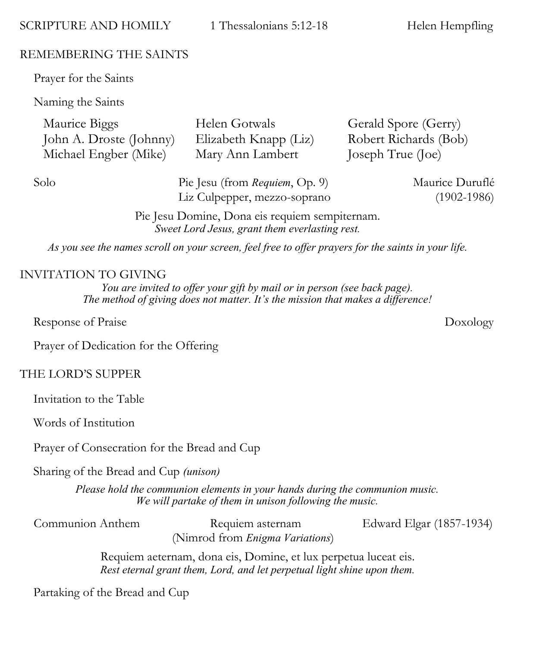SCRIPTURE AND HOMILY 1 Thessalonians 5:12-18 Helen Hempfling

### REMEMBERING THE SAINTS

Prayer for the Saints

Naming the Saints

| Maurice Biggs           | Helen Gotwals         | Gerald Spore (Gerry)  |
|-------------------------|-----------------------|-----------------------|
| John A. Droste (Johnny) | Elizabeth Knapp (Liz) | Robert Richards (Bob) |
| Michael Engber (Mike)   | Mary Ann Lambert      | Joseph True (Joe)     |

Solo **Pie Jesu (from** *Requiem*, Op. 9) Maurice Duruflé Liz Culpepper, mezzo-soprano (1902-1986)

Pie Jesu Domine, Dona eis requiem sempiternam. *Sweet Lord Jesus, grant them everlasting rest.*

*As you see the names scroll on your screen, feel free to offer prayers for the saints in your life.*

### INVITATION TO GIVING

*You are invited to offer your gift by mail or in person (see back page). The method of giving does not matter. It's the mission that makes a difference!*

Response of Praise Doxology

Prayer of Dedication for the Offering

### THE LORD'S SUPPER

Invitation to the Table

Words of Institution

Prayer of Consecration for the Bread and Cup

Sharing of the Bread and Cup *(unison)* 

*Please hold the communion elements in your hands during the communion music. We will partake of them in unison following the music.*

Communion Anthem Requiem asternam Edward Elgar (1857-1934) (Nimrod from *Enigma Variations*)

Requiem aeternam, dona eis, Domine, et lux perpetua luceat eis. *Rest eternal grant them, Lord, and let perpetual light shine upon them.*

Partaking of the Bread and Cup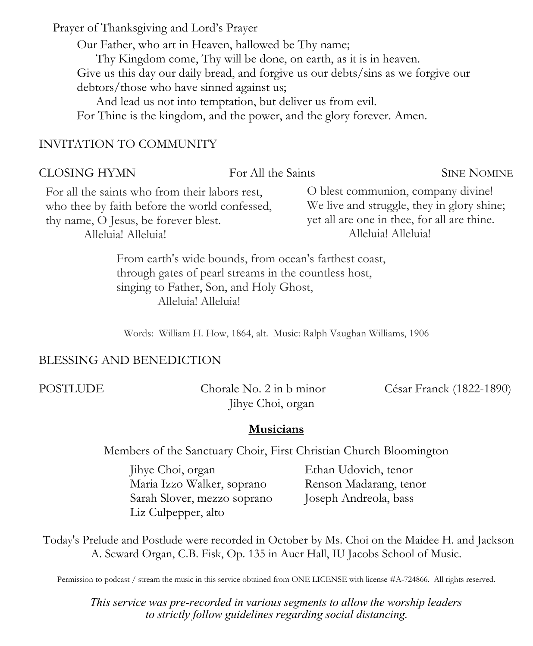Prayer of Thanksgiving and Lord's Prayer

Our Father, who art in Heaven, hallowed be Thy name;

Thy Kingdom come, Thy will be done, on earth, as it is in heaven. Give us this day our daily bread, and forgive us our debts/sins as we forgive our debtors/those who have sinned against us;

And lead us not into temptation, but deliver us from evil.

For Thine is the kingdom, and the power, and the glory forever. Amen.

### INVITATION TO COMMUNITY

#### CLOSING HYMN For All the Saints SINE NOMINE For all the saints who from their labors rest, who thee by faith before the world confessed, thy name, O Jesus, be forever blest. Alleluia! Alleluia! O blest communion, company divine! We live and struggle, they in glory shine; yet all are one in thee, for all are thine. Alleluia! Alleluia! From earth's wide bounds, from ocean's farthest coast,

through gates of pearl streams in the countless host, singing to Father, Son, and Holy Ghost, Alleluia! Alleluia!

Words: William H. How, 1864, alt. Music: Ralph Vaughan Williams, 1906

### BLESSING AND BENEDICTION

POSTLUDE Chorale No. 2 in b minor César Franck (1822-1890) Jihye Choi, organ

#### **Musicians**

Members of the Sanctuary Choir, First Christian Church Bloomington

Jihye Choi, organ Maria Izzo Walker, soprano Sarah Slover, mezzo soprano Liz Culpepper, alto

Ethan Udovich, tenor Renson Madarang, tenor Joseph Andreola, bass

Today's Prelude and Postlude were recorded in October by Ms. Choi on the Maidee H. and Jackson A. Seward Organ, C.B. Fisk, Op. 135 in Auer Hall, IU Jacobs School of Music.

Permission to podcast / stream the music in this service obtained from ONE LICENSE with license #A-724866. All rights reserved.

*This service was pre-recorded in various segments to allow the worship leaders to strictly follow guidelines regarding social distancing.*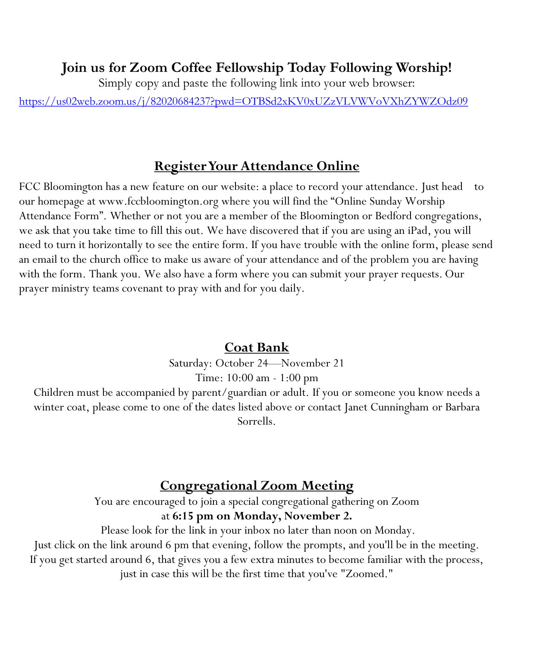### **Join us for Zoom Coffee Fellowship Today Following Worship!**

Simply copy and paste the following link into your web browser:

<https://us02web.zoom.us/j/82020684237?pwd=OTBSd2xKV0xUZzVLVWVoVXhZYWZOdz09>

### **Register Your Attendance Online**

FCC Bloomington has a new feature on our website: a place to record your attendance. Just head to our homepage at www.fccbloomington.org where you will find the "Online Sunday Worship Attendance Form". Whether or not you are a member of the Bloomington or Bedford congregations, we ask that you take time to fill this out. We have discovered that if you are using an iPad, you will need to turn it horizontally to see the entire form. If you have trouble with the online form, please send an email to the church office to make us aware of your attendance and of the problem you are having with the form. Thank you. We also have a form where you can submit your prayer requests. Our prayer ministry teams covenant to pray with and for you daily.

### **Coat Bank**

Saturday: October 24—November 21 Time: 10:00 am - 1:00 pm

Children must be accompanied by parent/guardian or adult. If you or someone you know needs a winter coat, please come to one of the dates listed above or contact Janet Cunningham or Barbara Sorrells.

## **Congregational Zoom Meeting**

You are encouraged to join a special congregational gathering on Zoom at **6:15 pm on Monday, November 2.** 

Please look for the link in your inbox no later than noon on Monday.

Just click on the link around 6 pm that evening, follow the prompts, and you'll be in the meeting. If you get started around 6, that gives you a few extra minutes to become familiar with the process, just in case this will be the first time that you've "Zoomed."